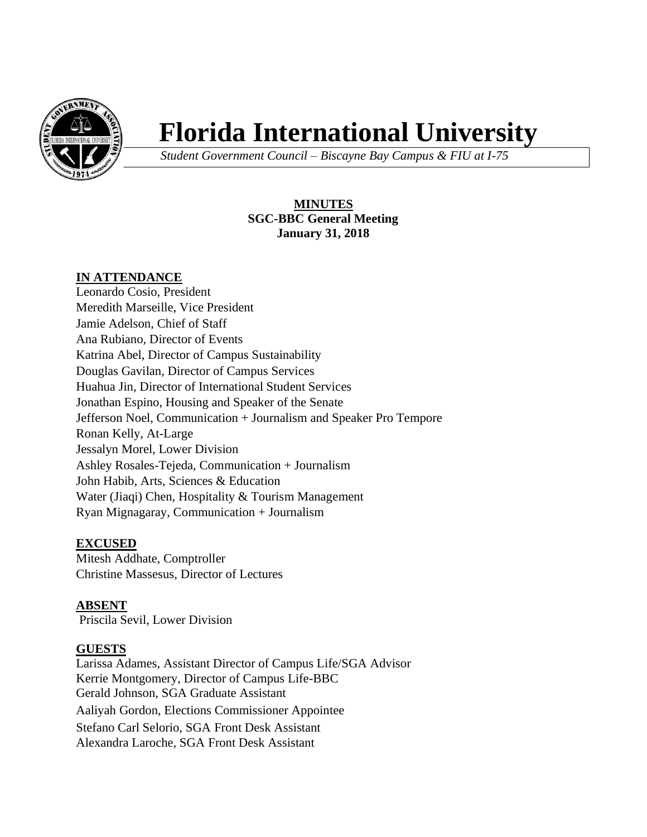

# **Florida International University**

*Student Government Council – Biscayne Bay Campus & FIU at I-75*

# **MINUTES SGC-BBC General Meeting January 31, 2018**

# **IN ATTENDANCE**

Leonardo Cosio, President Meredith Marseille, Vice President Jamie Adelson, Chief of Staff Ana Rubiano, Director of Events Katrina Abel, Director of Campus Sustainability Douglas Gavilan, Director of Campus Services Huahua Jin, Director of International Student Services Jonathan Espino, Housing and Speaker of the Senate Jefferson Noel, Communication + Journalism and Speaker Pro Tempore Ronan Kelly, At-Large Jessalyn Morel, Lower Division Ashley Rosales-Tejeda, Communication + Journalism John Habib, Arts, Sciences & Education Water (Jiaqi) Chen, Hospitality & Tourism Management Ryan Mignagaray, Communication + Journalism

## **EXCUSED**

Mitesh Addhate, Comptroller Christine Massesus, Director of Lectures

# **ABSENT**

Priscila Sevil, Lower Division

## **GUESTS**

Larissa Adames, Assistant Director of Campus Life/SGA Advisor Kerrie Montgomery, Director of Campus Life-BBC Gerald Johnson, SGA Graduate Assistant Aaliyah Gordon, Elections Commissioner Appointee Stefano Carl Selorio, SGA Front Desk Assistant Alexandra Laroche, SGA Front Desk Assistant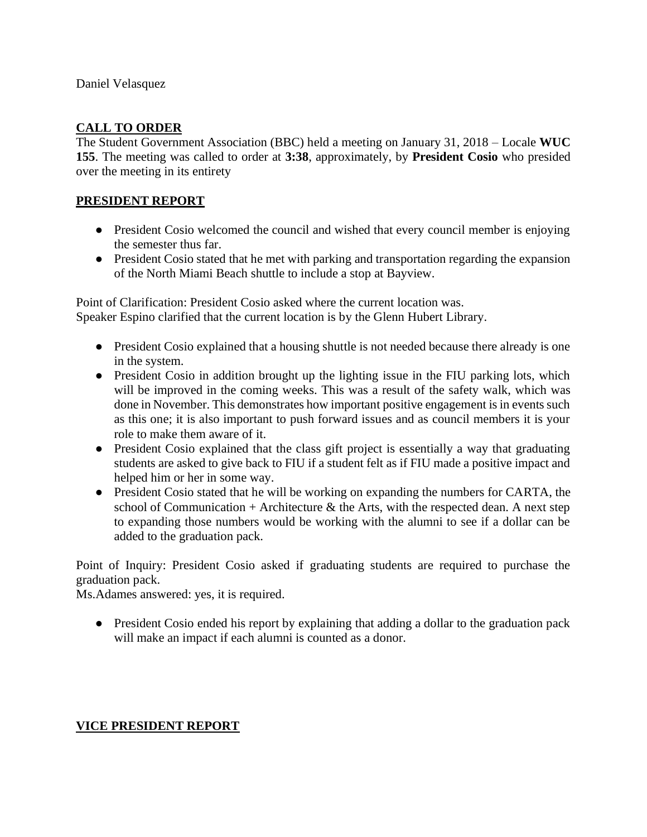Daniel Velasquez

#### **CALL TO ORDER**

The Student Government Association (BBC) held a meeting on January 31, 2018 – Locale **WUC 155**. The meeting was called to order at **3:38**, approximately, by **President Cosio** who presided over the meeting in its entirety

#### **PRESIDENT REPORT**

- President Cosio welcomed the council and wished that every council member is enjoying the semester thus far.
- President Cosio stated that he met with parking and transportation regarding the expansion of the North Miami Beach shuttle to include a stop at Bayview.

Point of Clarification: President Cosio asked where the current location was. Speaker Espino clarified that the current location is by the Glenn Hubert Library.

- President Cosio explained that a housing shuttle is not needed because there already is one in the system.
- President Cosio in addition brought up the lighting issue in the FIU parking lots, which will be improved in the coming weeks. This was a result of the safety walk, which was done in November. This demonstrates how important positive engagement is in events such as this one; it is also important to push forward issues and as council members it is your role to make them aware of it.
- President Cosio explained that the class gift project is essentially a way that graduating students are asked to give back to FIU if a student felt as if FIU made a positive impact and helped him or her in some way.
- President Cosio stated that he will be working on expanding the numbers for CARTA, the school of Communication + Architecture  $\&$  the Arts, with the respected dean. A next step to expanding those numbers would be working with the alumni to see if a dollar can be added to the graduation pack.

Point of Inquiry: President Cosio asked if graduating students are required to purchase the graduation pack.

Ms.Adames answered: yes, it is required.

• President Cosio ended his report by explaining that adding a dollar to the graduation pack will make an impact if each alumni is counted as a donor.

#### **VICE PRESIDENT REPORT**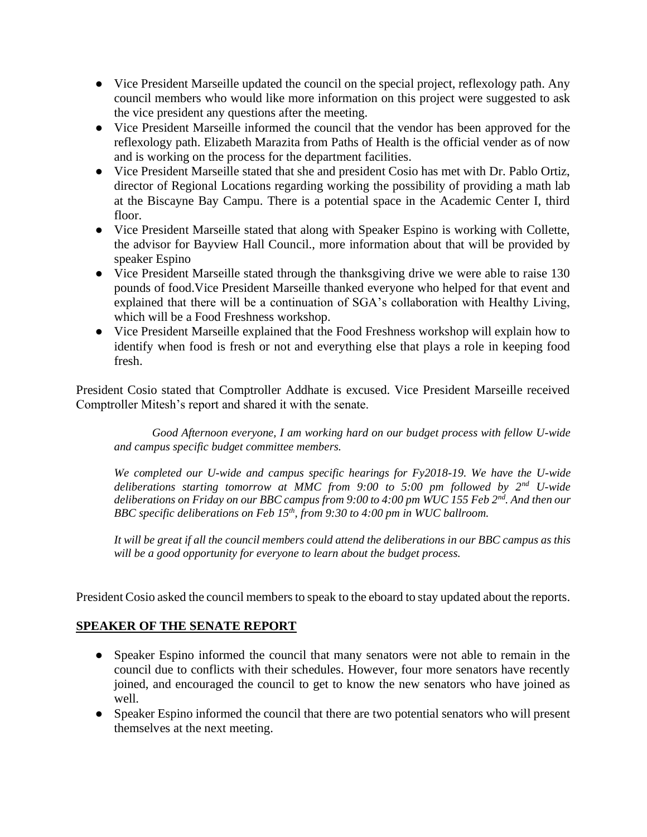- Vice President Marseille updated the council on the special project, reflexology path. Any council members who would like more information on this project were suggested to ask the vice president any questions after the meeting.
- Vice President Marseille informed the council that the vendor has been approved for the reflexology path. Elizabeth Marazita from Paths of Health is the official vender as of now and is working on the process for the department facilities.
- Vice President Marseille stated that she and president Cosio has met with Dr. Pablo Ortiz, director of Regional Locations regarding working the possibility of providing a math lab at the Biscayne Bay Campu. There is a potential space in the Academic Center I, third floor.
- Vice President Marseille stated that along with Speaker Espino is working with Collette, the advisor for Bayview Hall Council., more information about that will be provided by speaker Espino
- Vice President Marseille stated through the thanksgiving drive we were able to raise 130 pounds of food.Vice President Marseille thanked everyone who helped for that event and explained that there will be a continuation of SGA's collaboration with Healthy Living, which will be a Food Freshness workshop.
- Vice President Marseille explained that the Food Freshness workshop will explain how to identify when food is fresh or not and everything else that plays a role in keeping food fresh.

President Cosio stated that Comptroller Addhate is excused. Vice President Marseille received Comptroller Mitesh's report and shared it with the senate.

*Good Afternoon everyone, I am working hard on our budget process with fellow U-wide and campus specific budget committee members.*

*We completed our U-wide and campus specific hearings for Fy2018-19. We have the U-wide deliberations starting tomorrow at MMC from 9:00 to 5:00 pm followed by 2nd U-wide deliberations on Friday on our BBC campus from 9:00 to 4:00 pm WUC 155 Feb 2nd. And then our BBC specific deliberations on Feb 15th, from 9:30 to 4:00 pm in WUC ballroom.*

*It will be great if all the council members could attend the deliberations in our BBC campus as this will be a good opportunity for everyone to learn about the budget process.*

President Cosio asked the council members to speak to the eboard to stay updated about the reports.

## **SPEAKER OF THE SENATE REPORT**

- Speaker Espino informed the council that many senators were not able to remain in the council due to conflicts with their schedules. However, four more senators have recently joined, and encouraged the council to get to know the new senators who have joined as well.
- Speaker Espino informed the council that there are two potential senators who will present themselves at the next meeting.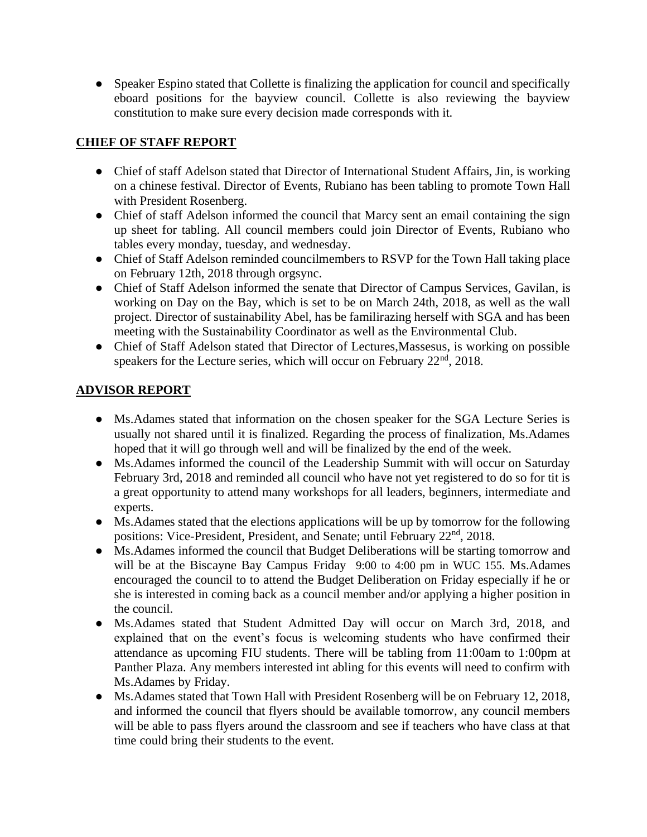• Speaker Espino stated that Collette is finalizing the application for council and specifically eboard positions for the bayview council. Collette is also reviewing the bayview constitution to make sure every decision made corresponds with it.

# **CHIEF OF STAFF REPORT**

- Chief of staff Adelson stated that Director of International Student Affairs, Jin, is working on a chinese festival. Director of Events, Rubiano has been tabling to promote Town Hall with President Rosenberg.
- Chief of staff Adelson informed the council that Marcy sent an email containing the sign up sheet for tabling. All council members could join Director of Events, Rubiano who tables every monday, tuesday, and wednesday.
- Chief of Staff Adelson reminded councilmembers to RSVP for the Town Hall taking place on February 12th, 2018 through orgsync.
- Chief of Staff Adelson informed the senate that Director of Campus Services, Gavilan, is working on Day on the Bay, which is set to be on March 24th, 2018, as well as the wall project. Director of sustainability Abel, has be familirazing herself with SGA and has been meeting with the Sustainability Coordinator as well as the Environmental Club.
- Chief of Staff Adelson stated that Director of Lectures,Massesus, is working on possible speakers for the Lecture series, which will occur on February  $22<sup>nd</sup>$ , 2018.

# **ADVISOR REPORT**

- Ms. Adames stated that information on the chosen speaker for the SGA Lecture Series is usually not shared until it is finalized. Regarding the process of finalization, Ms.Adames hoped that it will go through well and will be finalized by the end of the week.
- Ms.Adames informed the council of the Leadership Summit with will occur on Saturday February 3rd, 2018 and reminded all council who have not yet registered to do so for tit is a great opportunity to attend many workshops for all leaders, beginners, intermediate and experts.
- Ms.Adames stated that the elections applications will be up by tomorrow for the following positions: Vice-President, President, and Senate; until February 22<sup>nd</sup>, 2018.
- Ms.Adames informed the council that Budget Deliberations will be starting tomorrow and will be at the Biscayne Bay Campus Friday 9:00 to 4:00 pm in WUC 155. Ms. Adames encouraged the council to to attend the Budget Deliberation on Friday especially if he or she is interested in coming back as a council member and/or applying a higher position in the council.
- Ms.Adames stated that Student Admitted Day will occur on March 3rd, 2018, and explained that on the event's focus is welcoming students who have confirmed their attendance as upcoming FIU students. There will be tabling from 11:00am to 1:00pm at Panther Plaza. Any members interested int abling for this events will need to confirm with Ms.Adames by Friday.
- Ms.Adames stated that Town Hall with President Rosenberg will be on February 12, 2018, and informed the council that flyers should be available tomorrow, any council members will be able to pass flyers around the classroom and see if teachers who have class at that time could bring their students to the event.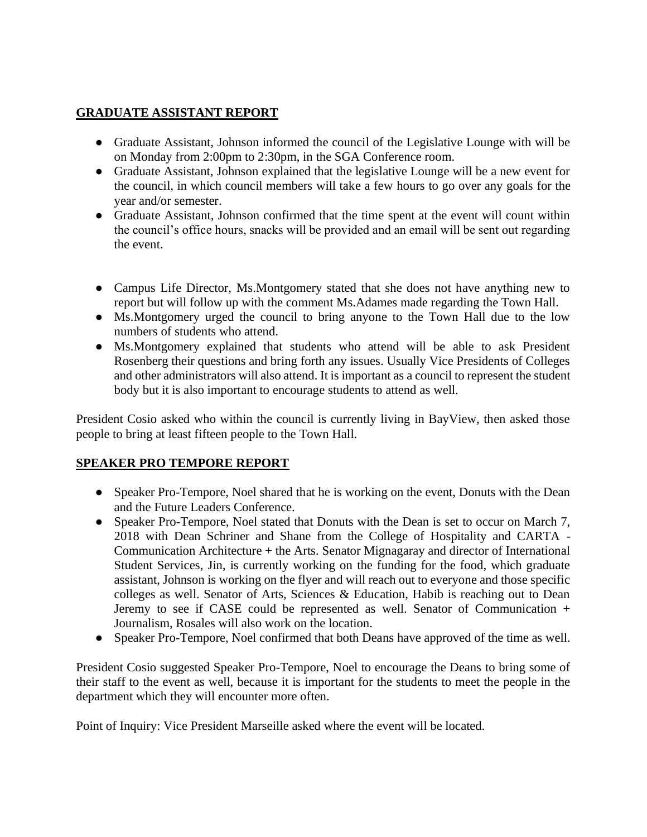# **GRADUATE ASSISTANT REPORT**

- Graduate Assistant, Johnson informed the council of the Legislative Lounge with will be on Monday from 2:00pm to 2:30pm, in the SGA Conference room.
- Graduate Assistant, Johnson explained that the legislative Lounge will be a new event for the council, in which council members will take a few hours to go over any goals for the year and/or semester.
- Graduate Assistant, Johnson confirmed that the time spent at the event will count within the council's office hours, snacks will be provided and an email will be sent out regarding the event.
- Campus Life Director, Ms. Montgomery stated that she does not have anything new to report but will follow up with the comment Ms.Adames made regarding the Town Hall.
- Ms. Montgomery urged the council to bring anyone to the Town Hall due to the low numbers of students who attend.
- Ms.Montgomery explained that students who attend will be able to ask President Rosenberg their questions and bring forth any issues. Usually Vice Presidents of Colleges and other administrators will also attend. It is important as a council to represent the student body but it is also important to encourage students to attend as well.

President Cosio asked who within the council is currently living in BayView, then asked those people to bring at least fifteen people to the Town Hall.

## **SPEAKER PRO TEMPORE REPORT**

- Speaker Pro-Tempore, Noel shared that he is working on the event, Donuts with the Dean and the Future Leaders Conference.
- Speaker Pro-Tempore, Noel stated that Donuts with the Dean is set to occur on March 7, 2018 with Dean Schriner and Shane from the College of Hospitality and CARTA - Communication Architecture + the Arts. Senator Mignagaray and director of International Student Services, Jin, is currently working on the funding for the food, which graduate assistant, Johnson is working on the flyer and will reach out to everyone and those specific colleges as well. Senator of Arts, Sciences & Education, Habib is reaching out to Dean Jeremy to see if CASE could be represented as well. Senator of Communication + Journalism, Rosales will also work on the location.
- Speaker Pro-Tempore, Noel confirmed that both Deans have approved of the time as well.

President Cosio suggested Speaker Pro-Tempore, Noel to encourage the Deans to bring some of their staff to the event as well, because it is important for the students to meet the people in the department which they will encounter more often.

Point of Inquiry: Vice President Marseille asked where the event will be located.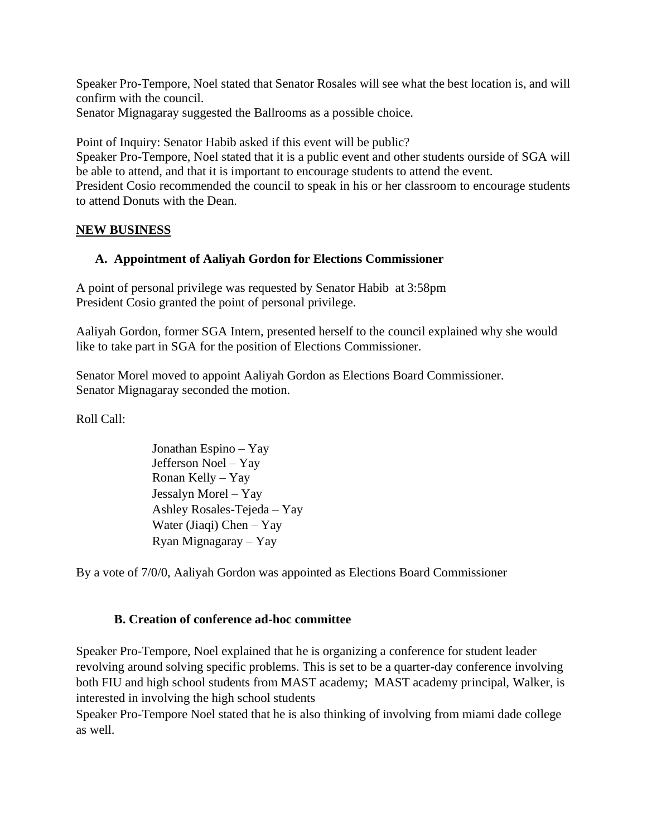Speaker Pro-Tempore, Noel stated that Senator Rosales will see what the best location is, and will confirm with the council.

Senator Mignagaray suggested the Ballrooms as a possible choice.

Point of Inquiry: Senator Habib asked if this event will be public?

Speaker Pro-Tempore, Noel stated that it is a public event and other students ourside of SGA will be able to attend, and that it is important to encourage students to attend the event.

President Cosio recommended the council to speak in his or her classroom to encourage students to attend Donuts with the Dean.

# **NEW BUSINESS**

# **A. Appointment of Aaliyah Gordon for Elections Commissioner**

A point of personal privilege was requested by Senator Habib at 3:58pm President Cosio granted the point of personal privilege.

Aaliyah Gordon, former SGA Intern, presented herself to the council explained why she would like to take part in SGA for the position of Elections Commissioner.

Senator Morel moved to appoint Aaliyah Gordon as Elections Board Commissioner. Senator Mignagaray seconded the motion.

Roll Call:

Jonathan Espino – Yay Jefferson Noel – Yay Ronan Kelly – Yay Jessalyn Morel – Yay Ashley Rosales-Tejeda – Yay Water (Jiaqi) Chen – Yay Ryan Mignagaray – Yay

By a vote of 7/0/0, Aaliyah Gordon was appointed as Elections Board Commissioner

## **B. Creation of conference ad-hoc committee**

Speaker Pro-Tempore, Noel explained that he is organizing a conference for student leader revolving around solving specific problems. This is set to be a quarter-day conference involving both FIU and high school students from MAST academy; MAST academy principal, Walker, is interested in involving the high school students

Speaker Pro-Tempore Noel stated that he is also thinking of involving from miami dade college as well.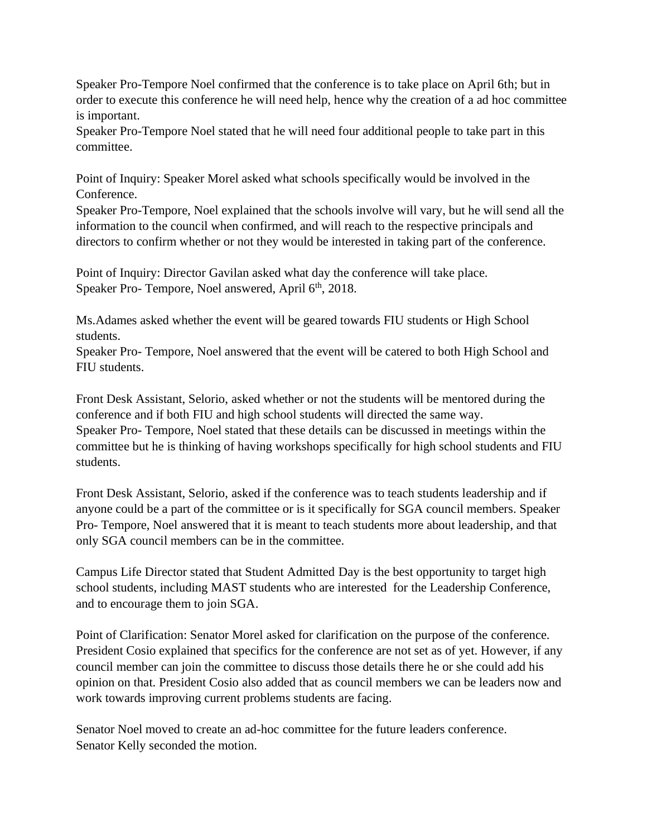Speaker Pro-Tempore Noel confirmed that the conference is to take place on April 6th; but in order to execute this conference he will need help, hence why the creation of a ad hoc committee is important.

Speaker Pro-Tempore Noel stated that he will need four additional people to take part in this committee.

Point of Inquiry: Speaker Morel asked what schools specifically would be involved in the Conference.

Speaker Pro-Tempore, Noel explained that the schools involve will vary, but he will send all the information to the council when confirmed, and will reach to the respective principals and directors to confirm whether or not they would be interested in taking part of the conference.

Point of Inquiry: Director Gavilan asked what day the conference will take place. Speaker Pro- Tempore, Noel answered, April 6<sup>th</sup>, 2018.

Ms.Adames asked whether the event will be geared towards FIU students or High School students.

Speaker Pro- Tempore, Noel answered that the event will be catered to both High School and FIU students.

Front Desk Assistant, Selorio, asked whether or not the students will be mentored during the conference and if both FIU and high school students will directed the same way. Speaker Pro- Tempore, Noel stated that these details can be discussed in meetings within the committee but he is thinking of having workshops specifically for high school students and FIU students.

Front Desk Assistant, Selorio, asked if the conference was to teach students leadership and if anyone could be a part of the committee or is it specifically for SGA council members. Speaker Pro- Tempore, Noel answered that it is meant to teach students more about leadership, and that only SGA council members can be in the committee.

Campus Life Director stated that Student Admitted Day is the best opportunity to target high school students, including MAST students who are interested for the Leadership Conference, and to encourage them to join SGA.

Point of Clarification: Senator Morel asked for clarification on the purpose of the conference. President Cosio explained that specifics for the conference are not set as of yet. However, if any council member can join the committee to discuss those details there he or she could add his opinion on that. President Cosio also added that as council members we can be leaders now and work towards improving current problems students are facing.

Senator Noel moved to create an ad-hoc committee for the future leaders conference. Senator Kelly seconded the motion.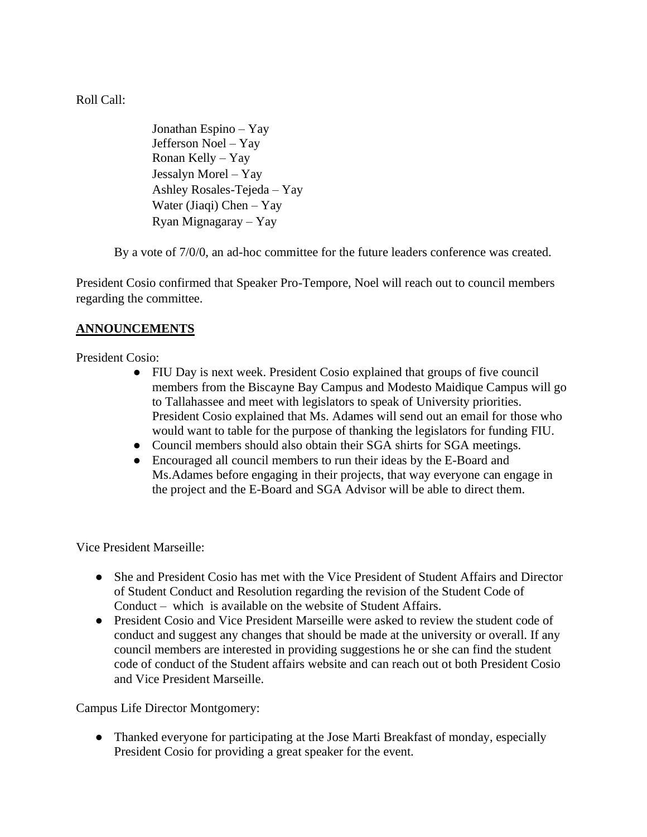Roll Call:

Jonathan Espino – Yay Jefferson Noel – Yay Ronan Kelly – Yay Jessalyn Morel – Yay Ashley Rosales-Tejeda – Yay Water (Jiaqi) Chen – Yay Ryan Mignagaray – Yay

By a vote of 7/0/0, an ad-hoc committee for the future leaders conference was created.

President Cosio confirmed that Speaker Pro-Tempore, Noel will reach out to council members regarding the committee.

# **ANNOUNCEMENTS**

President Cosio:

- FIU Day is next week. President Cosio explained that groups of five council members from the Biscayne Bay Campus and Modesto Maidique Campus will go to Tallahassee and meet with legislators to speak of University priorities. President Cosio explained that Ms. Adames will send out an email for those who would want to table for the purpose of thanking the legislators for funding FIU.
- Council members should also obtain their SGA shirts for SGA meetings.
- Encouraged all council members to run their ideas by the E-Board and Ms.Adames before engaging in their projects, that way everyone can engage in the project and the E-Board and SGA Advisor will be able to direct them.

Vice President Marseille:

- She and President Cosio has met with the Vice President of Student Affairs and Director of Student Conduct and Resolution regarding the revision of the Student Code of Conduct – which is available on the website of Student Affairs.
- President Cosio and Vice President Marseille were asked to review the student code of conduct and suggest any changes that should be made at the university or overall. If any council members are interested in providing suggestions he or she can find the student code of conduct of the Student affairs website and can reach out ot both President Cosio and Vice President Marseille.

Campus Life Director Montgomery:

• Thanked everyone for participating at the Jose Marti Breakfast of monday, especially President Cosio for providing a great speaker for the event.